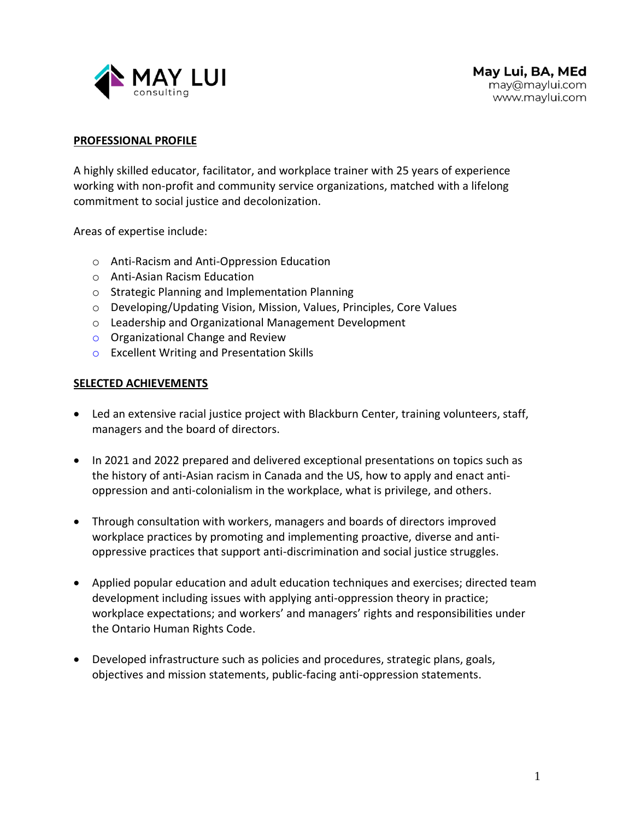

#### **PROFESSIONAL PROFILE**

A highly skilled educator, facilitator, and workplace trainer with 25 years of experience working with non-profit and community service organizations, matched with a lifelong commitment to social justice and decolonization.

Areas of expertise include:

- o Anti-Racism and Anti-Oppression Education
- o Anti-Asian Racism Education
- o Strategic Planning and Implementation Planning
- o Developing/Updating Vision, Mission, Values, Principles, Core Values
- o Leadership and Organizational Management Development
- o Organizational Change and Review
- o Excellent Writing and Presentation Skills

#### **SELECTED ACHIEVEMENTS**

- Led an extensive racial justice project with Blackburn Center, training volunteers, staff, managers and the board of directors.
- In 2021 and 2022 prepared and delivered exceptional presentations on topics such as the history of anti-Asian racism in Canada and the US, how to apply and enact antioppression and anti-colonialism in the workplace, what is privilege, and others.
- Through consultation with workers, managers and boards of directors improved workplace practices by promoting and implementing proactive, diverse and antioppressive practices that support anti-discrimination and social justice struggles.
- Applied popular education and adult education techniques and exercises; directed team development including issues with applying anti-oppression theory in practice; workplace expectations; and workers' and managers' rights and responsibilities under the Ontario Human Rights Code.
- Developed infrastructure such as policies and procedures, strategic plans, goals, objectives and mission statements, public-facing anti-oppression statements.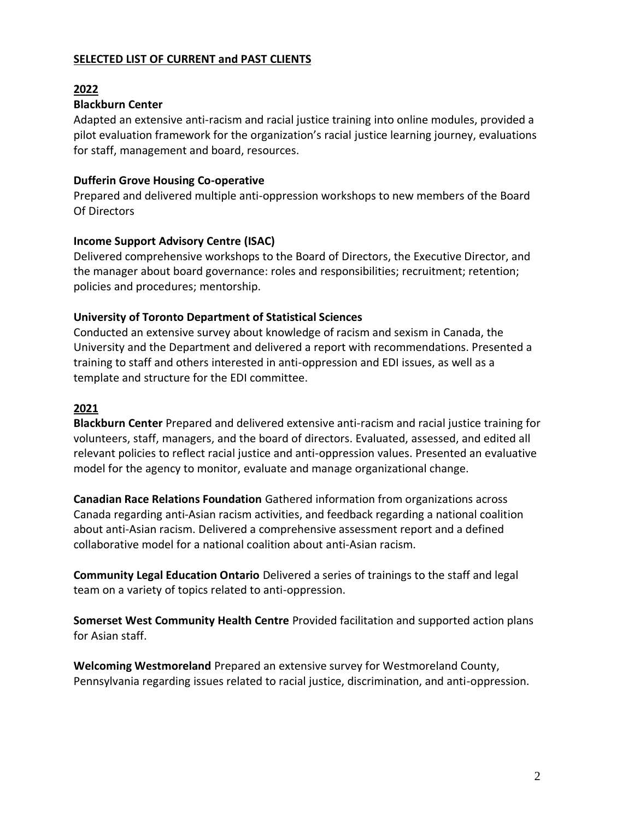# **SELECTED LIST OF CURRENT and PAST CLIENTS**

# **2022**

# **Blackburn Center**

Adapted an extensive anti-racism and racial justice training into online modules, provided a pilot evaluation framework for the organization's racial justice learning journey, evaluations for staff, management and board, resources.

#### **Dufferin Grove Housing Co-operative**

Prepared and delivered multiple anti-oppression workshops to new members of the Board Of Directors

#### **Income Support Advisory Centre (ISAC)**

Delivered comprehensive workshops to the Board of Directors, the Executive Director, and the manager about board governance: roles and responsibilities; recruitment; retention; policies and procedures; mentorship.

# **University of Toronto Department of Statistical Sciences**

Conducted an extensive survey about knowledge of racism and sexism in Canada, the University and the Department and delivered a report with recommendations. Presented a training to staff and others interested in anti-oppression and EDI issues, as well as a template and structure for the EDI committee.

# **2021**

**Blackburn Center** Prepared and delivered extensive anti-racism and racial justice training for volunteers, staff, managers, and the board of directors. Evaluated, assessed, and edited all relevant policies to reflect racial justice and anti-oppression values. Presented an evaluative model for the agency to monitor, evaluate and manage organizational change.

**Canadian Race Relations Foundation** Gathered information from organizations across Canada regarding anti-Asian racism activities, and feedback regarding a national coalition about anti-Asian racism. Delivered a comprehensive assessment report and a defined collaborative model for a national coalition about anti-Asian racism.

**Community Legal Education Ontario** Delivered a series of trainings to the staff and legal team on a variety of topics related to anti-oppression.

**Somerset West Community Health Centre** Provided facilitation and supported action plans for Asian staff.

**Welcoming Westmoreland** Prepared an extensive survey for Westmoreland County, Pennsylvania regarding issues related to racial justice, discrimination, and anti-oppression.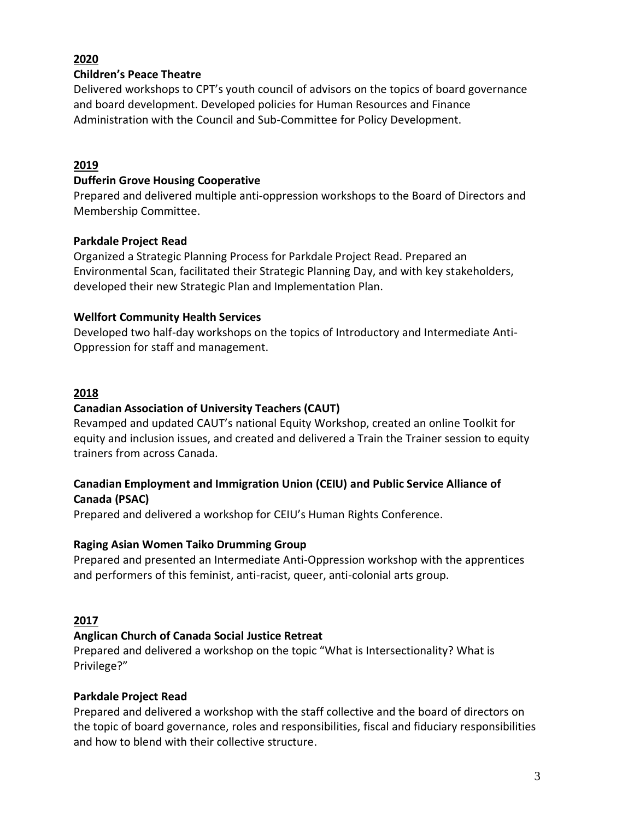# **2020**

# **Children's Peace Theatre**

Delivered workshops to CPT's youth council of advisors on the topics of board governance and board development. Developed policies for Human Resources and Finance Administration with the Council and Sub-Committee for Policy Development.

# **2019**

# **Dufferin Grove Housing Cooperative**

Prepared and delivered multiple anti-oppression workshops to the Board of Directors and Membership Committee.

#### **Parkdale Project Read**

Organized a Strategic Planning Process for Parkdale Project Read. Prepared an Environmental Scan, facilitated their Strategic Planning Day, and with key stakeholders, developed their new Strategic Plan and Implementation Plan.

# **Wellfort Community Health Services**

Developed two half-day workshops on the topics of Introductory and Intermediate Anti-Oppression for staff and management.

# **2018**

# **Canadian Association of University Teachers (CAUT)**

Revamped and updated CAUT's national Equity Workshop, created an online Toolkit for equity and inclusion issues, and created and delivered a Train the Trainer session to equity trainers from across Canada.

# **Canadian Employment and Immigration Union (CEIU) and Public Service Alliance of Canada (PSAC)**

Prepared and delivered a workshop for CEIU's Human Rights Conference.

# **Raging Asian Women Taiko Drumming Group**

Prepared and presented an Intermediate Anti-Oppression workshop with the apprentices and performers of this feminist, anti-racist, queer, anti-colonial arts group.

# **2017**

# **Anglican Church of Canada Social Justice Retreat**

Prepared and delivered a workshop on the topic "What is Intersectionality? What is Privilege?"

# **Parkdale Project Read**

Prepared and delivered a workshop with the staff collective and the board of directors on the topic of board governance, roles and responsibilities, fiscal and fiduciary responsibilities and how to blend with their collective structure.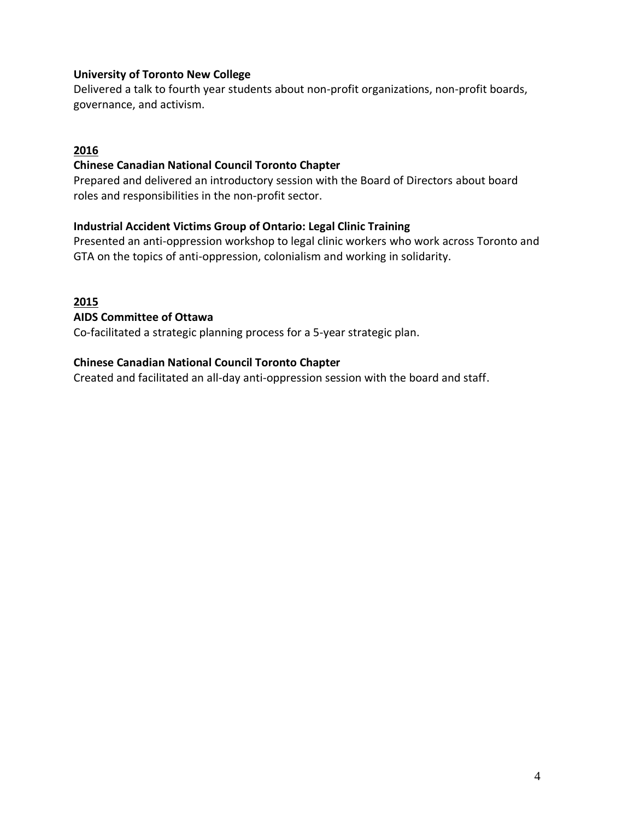# **University of Toronto New College**

Delivered a talk to fourth year students about non-profit organizations, non-profit boards, governance, and activism.

# **2016**

# **Chinese Canadian National Council Toronto Chapter**

Prepared and delivered an introductory session with the Board of Directors about board roles and responsibilities in the non-profit sector.

#### **Industrial Accident Victims Group of Ontario: Legal Clinic Training**

Presented an anti-oppression workshop to legal clinic workers who work across Toronto and GTA on the topics of anti-oppression, colonialism and working in solidarity.

#### **2015**

#### **AIDS Committee of Ottawa**

Co-facilitated a strategic planning process for a 5-year strategic plan.

#### **Chinese Canadian National Council Toronto Chapter**

Created and facilitated an all-day anti-oppression session with the board and staff.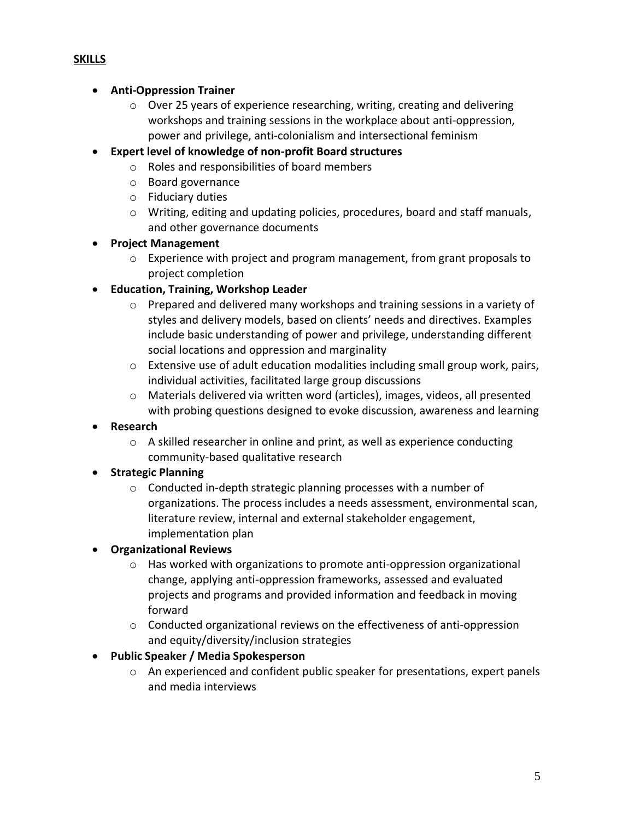# **SKILLS**

#### • **Anti-Oppression Trainer**

- o Over 25 years of experience researching, writing, creating and delivering workshops and training sessions in the workplace about anti-oppression, power and privilege, anti-colonialism and intersectional feminism
- **Expert level of knowledge of non-profit Board structures**
	- o Roles and responsibilities of board members
		- o Board governance
		- o Fiduciary duties
		- $\circ$  Writing, editing and updating policies, procedures, board and staff manuals, and other governance documents

# • **Project Management**

- $\circ$  Experience with project and program management, from grant proposals to project completion
- **Education, Training, Workshop Leader**
	- o Prepared and delivered many workshops and training sessions in a variety of styles and delivery models, based on clients' needs and directives. Examples include basic understanding of power and privilege, understanding different social locations and oppression and marginality
	- $\circ$  Extensive use of adult education modalities including small group work, pairs, individual activities, facilitated large group discussions
	- o Materials delivered via written word (articles), images, videos, all presented with probing questions designed to evoke discussion, awareness and learning
- **Research**
	- o A skilled researcher in online and print, as well as experience conducting community-based qualitative research

# • **Strategic Planning**

- o Conducted in-depth strategic planning processes with a number of organizations. The process includes a needs assessment, environmental scan, literature review, internal and external stakeholder engagement, implementation plan
- **Organizational Reviews**
	- $\circ$  Has worked with organizations to promote anti-oppression organizational change, applying anti-oppression frameworks, assessed and evaluated projects and programs and provided information and feedback in moving forward
	- $\circ$  Conducted organizational reviews on the effectiveness of anti-oppression and equity/diversity/inclusion strategies
- **Public Speaker / Media Spokesperson**
	- o An experienced and confident public speaker for presentations, expert panels and media interviews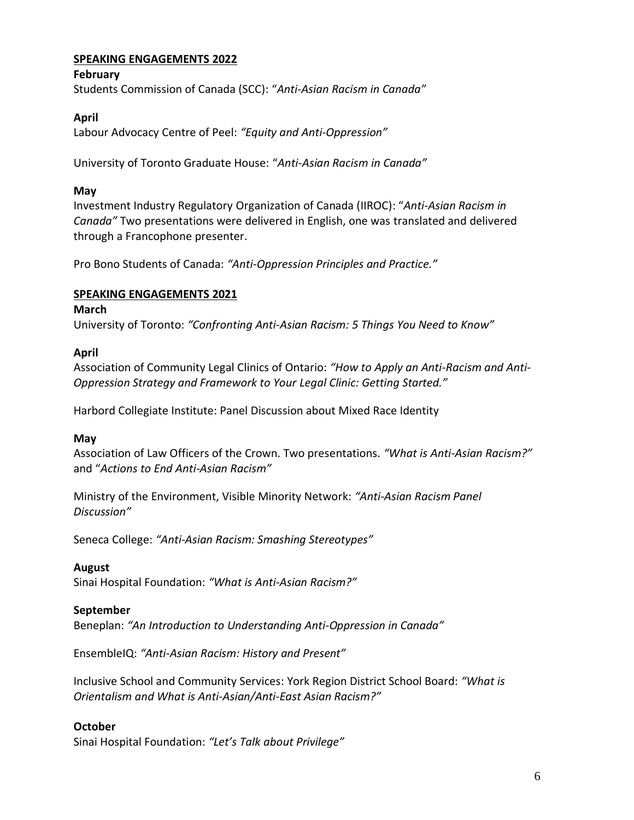# **SPEAKING ENGAGEMENTS 2022**

#### **February**

Students Commission of Canada (SCC): "*Anti-Asian Racism in Canada"*

#### **April**

Labour Advocacy Centre of Peel: *"Equity and Anti-Oppression"*

University of Toronto Graduate House: "*Anti-Asian Racism in Canada"*

#### **May**

Investment Industry Regulatory Organization of Canada (IIROC): "*Anti-Asian Racism in Canada"* Two presentations were delivered in English, one was translated and delivered through a Francophone presenter.

Pro Bono Students of Canada: *"Anti-Oppression Principles and Practice."*

#### **SPEAKING ENGAGEMENTS 2021**

#### **March**

University of Toronto: *"Confronting Anti-Asian Racism: 5 Things You Need to Know"*

#### **April**

Association of Community Legal Clinics of Ontario: *"How to Apply an Anti-Racism and Anti-Oppression Strategy and Framework to Your Legal Clinic: Getting Started."*

Harbord Collegiate Institute: Panel Discussion about Mixed Race Identity

#### **May**

Association of Law Officers of the Crown. Two presentations. *"What is Anti-Asian Racism?"* and "*Actions to End Anti-Asian Racism"*

Ministry of the Environment, Visible Minority Network: *"Anti-Asian Racism Panel Discussion"*

Seneca College: *"Anti-Asian Racism: Smashing Stereotypes"*

#### **August**

Sinai Hospital Foundation: *"What is Anti-Asian Racism?"*

#### **September**

Beneplan: *"An Introduction to Understanding Anti-Oppression in Canada"*

EnsembleIQ: *"Anti-Asian Racism: History and Present"*

Inclusive School and Community Services: York Region District School Board: *"What is Orientalism and What is Anti-Asian/Anti-East Asian Racism?"*

#### **October**

Sinai Hospital Foundation: *"Let's Talk about Privilege"*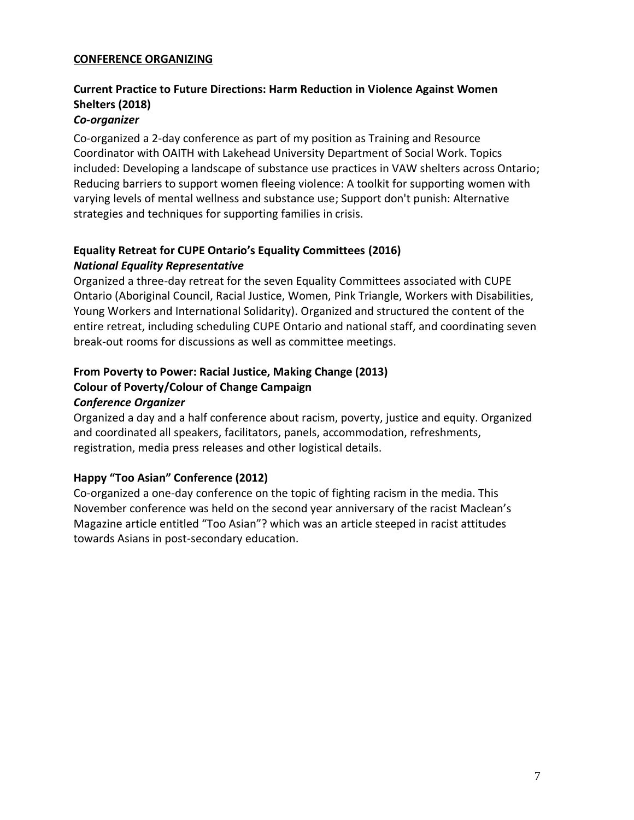#### **CONFERENCE ORGANIZING**

# **Current Practice to Future Directions: Harm Reduction in Violence Against Women Shelters (2018)**

# *Co-organizer*

Co-organized a 2-day conference as part of my position as Training and Resource Coordinator with OAITH with Lakehead University Department of Social Work. Topics included: Developing a landscape of substance use practices in VAW shelters across Ontario; Reducing barriers to support women fleeing violence: A toolkit for supporting women with varying levels of mental wellness and substance use; Support don't punish: Alternative strategies and techniques for supporting families in crisis.

# **Equality Retreat for CUPE Ontario's Equality Committees (2016)** *National Equality Representative*

Organized a three-day retreat for the seven Equality Committees associated with CUPE Ontario (Aboriginal Council, Racial Justice, Women, Pink Triangle, Workers with Disabilities, Young Workers and International Solidarity). Organized and structured the content of the entire retreat, including scheduling CUPE Ontario and national staff, and coordinating seven break-out rooms for discussions as well as committee meetings.

# **From Poverty to Power: Racial Justice, Making Change (2013) Colour of Poverty/Colour of Change Campaign** *Conference Organizer*

Organized a day and a half conference about racism, poverty, justice and equity. Organized and coordinated all speakers, facilitators, panels, accommodation, refreshments, registration, media press releases and other logistical details.

# **Happy "Too Asian" Conference (2012)**

Co-organized a one-day conference on the topic of fighting racism in the media. This November conference was held on the second year anniversary of the racist Maclean's Magazine article entitled "Too Asian"? which was an article steeped in racist attitudes towards Asians in post-secondary education.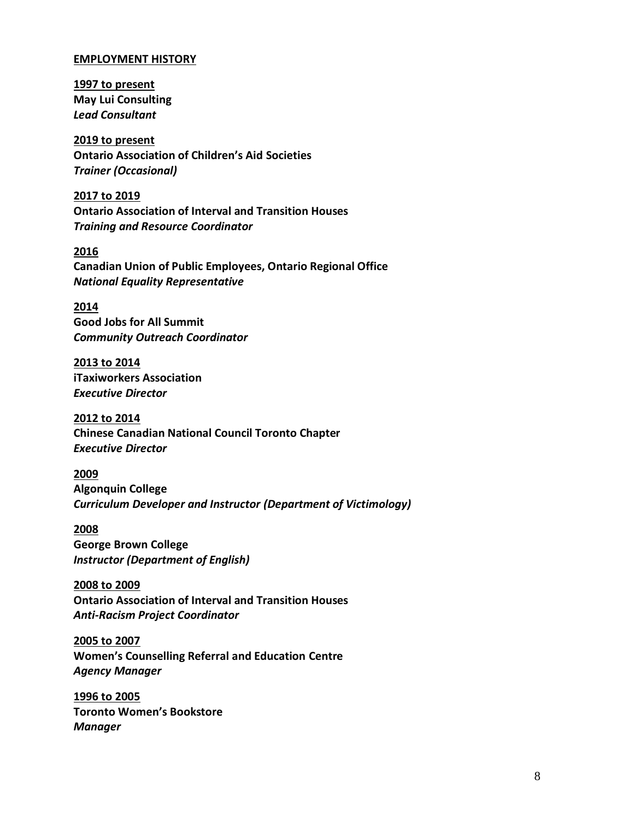#### **EMPLOYMENT HISTORY**

**1997 to present May Lui Consulting** *Lead Consultant*

**2019 to present Ontario Association of Children's Aid Societies** *Trainer (Occasional)* 

**2017 to 2019 Ontario Association of Interval and Transition Houses** *Training and Resource Coordinator*

**2016 Canadian Union of Public Employees, Ontario Regional Office** *National Equality Representative*

**2014 Good Jobs for All Summit** *Community Outreach Coordinator*

**2013 to 2014 iTaxiworkers Association** *Executive Director*

**2012 to 2014 Chinese Canadian National Council Toronto Chapter** *Executive Director*

**2009 Algonquin College** *Curriculum Developer and Instructor (Department of Victimology)*

**2008 George Brown College** *Instructor (Department of English)*

**2008 to 2009 Ontario Association of Interval and Transition Houses** *Anti-Racism Project Coordinator*

**2005 to 2007 Women's Counselling Referral and Education Centre** *Agency Manager*

**1996 to 2005 Toronto Women's Bookstore** *Manager*